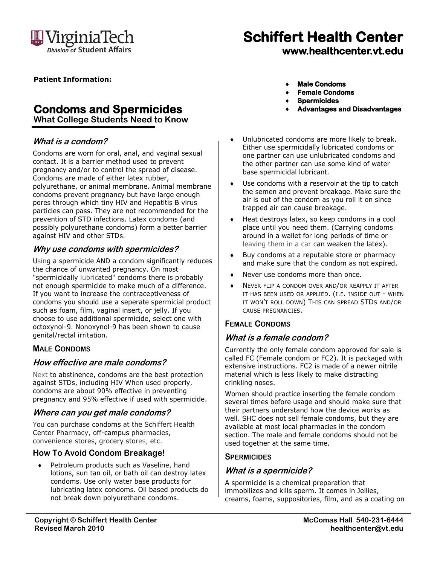

# **Schiffert Health Center**

**www.healthcenter.vt.edu**

**Patient Information:**

## **Condoms and Spermicides**

**What College Students Need to Know**

#### **What is a condom?**

Condoms are worn for oral, anal, and vaginal sexual contact. It is a barrier method used to prevent pregnancy and/or to control the spread of disease. Condoms are made of either latex rubber, polyurethane, or animal membrane. Animal membrane condoms prevent pregnancy but have large enough pores through which tiny HIV and Hepatitis B virus particles can pass. They are not recommended for the prevention of STD infections. Latex condoms (and possibly polyurethane condoms) form a better barrier against HIV and other STDs.

#### **Why use condoms with spermicides?**

Using a spermicide AND a condom significantly reduces the chance of unwanted pregnancy. On most "spermicidally lubricated" condoms there is probably not enough spermicide to make much of a difference. If you want to increase the contraceptiveness of condoms you should use a seperate spermicial product such as foam, film, vaginal insert, or jelly. If you choose to use additional spermicide, select one with octoxynol-9. Nonoxynol-9 has been shown to cause genital/rectal irritation.

#### **MALE CONDOMS**

#### **How effective are male condoms?**

Next to abstinence, condoms are the best protection against STDs, including HIV When used properly, condoms are about 90% effective in preventing pregnancy and 95% effective if used with spermicide.

#### **Where can you get male condoms?**

You can purchase condoms at the Schiffert Health Center Pharmacy, off-campus pharmacies, convenience stores, grocery stores, etc.

#### **How To Avoid Condom Breakage!**

 Petroleum products such as Vaseline, hand lotions, sun tan oil, or bath oil can destroy latex condoms. Use only water base products for lubricating latex condoms. Oil based products do not break down polyurethane condoms.

- **Male Condoms**
- **Female Condoms**
- **Spermicides**
- **Advantages and Disadvantages**
- Unlubricated condoms are more likely to break. Either use spermicidally lubricated condoms or one partner can use unlubricated condoms and the other partner can use some kind of water base spermicidal lubricant.
- Use condoms with a reservoir at the tip to catch the semen and prevent breakage. Make sure the air is out of the condom as you roll it on since trapped air can cause breakage.
- Heat destroys latex, so keep condoms in a cool place until you need them. (Carrying condoms around in a wallet for long periods of time or leaving them in a car can weaken the latex).
- Buy condoms at a reputable store or pharmacy and make sure that the condom as not expired.
- Never use condoms more than once.
- NEVER FLIP A CONDOM OVER AND/OR REAPPLY IT AFTER IT HAS BEEN USED OR APPLIED. (I.E. INSIDE OUT - WHEN IT WON'T ROLL DOWN) THIS CAN SPREAD STDS AND/OR CAUSE PREGNANCIES.

#### **FEMALE CONDOMS**

#### **What is a female condom?**

Currently the only female condom approved for sale is called FC (Female condom or FC2). It is packaged with extensive instructions. FC2 is made of a newer nitrile material which is less likely to make distracting crinkling noses.

Women should practice inserting the female condom several times before usage and should make sure that their partners understand how the device works as well. SHC does not sell female condoms, but they are available at most local pharmacies in the condom section. The male and female condoms should not be used together at the same time.

#### **SPERMICIDES**

#### **What is a spermicide?**

A spermicide is a chemical preparation that immobilizes and kills sperm. It comes in Jellies, creams, foams, suppositories, film, and as a coating on